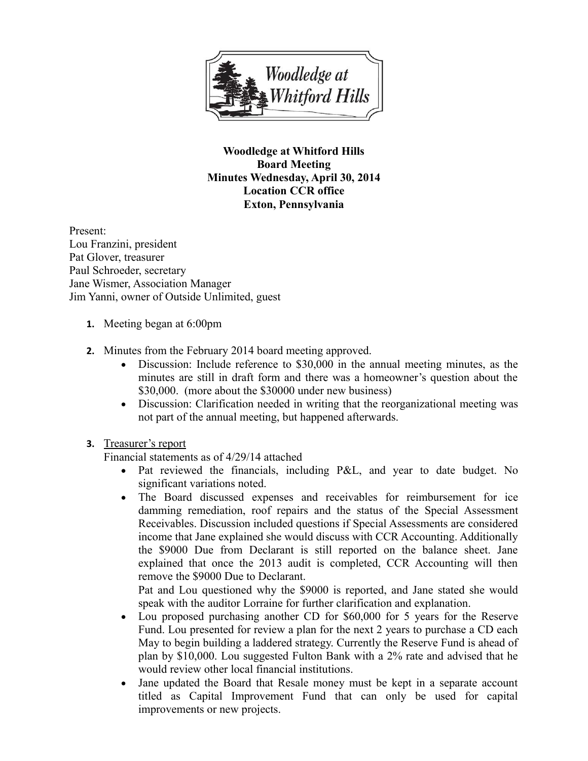

**Woodledge at Whitford Hills Board Meeting Minutes Wednesday, April 30, 2014 Location CCR office Exton, Pennsylvania**

Present: Lou Franzini, president Pat Glover, treasurer Paul Schroeder, secretary Jane Wismer, Association Manager Jim Yanni, owner of Outside Unlimited, guest

- **1.** Meeting began at 6:00pm
- **2.** Minutes from the February 2014 board meeting approved.
	- Discussion: Include reference to \$30,000 in the annual meeting minutes, as the minutes are still in draft form and there was a homeowner's question about the \$30,000. (more about the \$30000 under new business)
	- Discussion: Clarification needed in writing that the reorganizational meeting was not part of the annual meeting, but happened afterwards.
- **3.** Treasurer's report

Financial statements as of 4/29/14 attached

- Pat reviewed the financials, including P&L, and year to date budget. No significant variations noted.
- The Board discussed expenses and receivables for reimbursement for ice damming remediation, roof repairs and the status of the Special Assessment Receivables. Discussion included questions if Special Assessments are considered income that Jane explained she would discuss with CCR Accounting. Additionally the \$9000 Due from Declarant is still reported on the balance sheet. Jane explained that once the 2013 audit is completed, CCR Accounting will then remove the \$9000 Due to Declarant.

Pat and Lou questioned why the \$9000 is reported, and Jane stated she would speak with the auditor Lorraine for further clarification and explanation.

- Lou proposed purchasing another CD for \$60,000 for 5 years for the Reserve Fund. Lou presented for review a plan for the next 2 years to purchase a CD each May to begin building a laddered strategy. Currently the Reserve Fund is ahead of plan by \$10,000. Lou suggested Fulton Bank with a 2% rate and advised that he would review other local financial institutions.
- Jane updated the Board that Resale money must be kept in a separate account titled as Capital Improvement Fund that can only be used for capital improvements or new projects.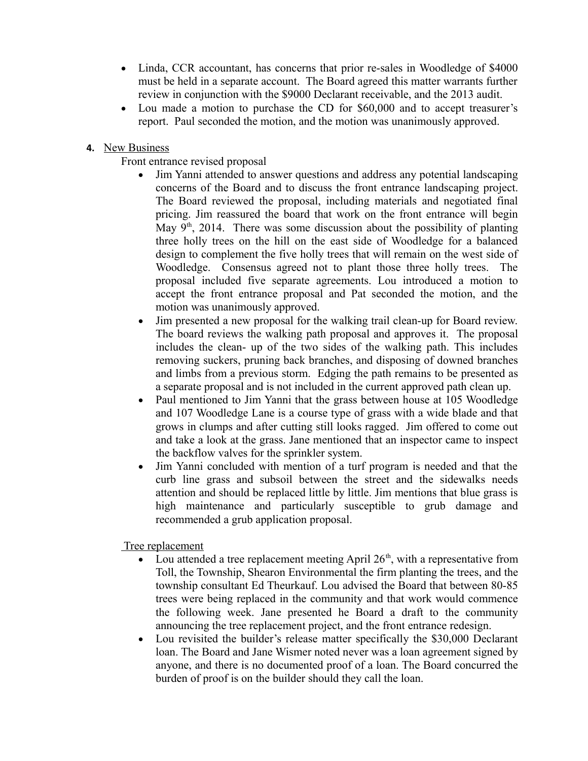- Linda, CCR accountant, has concerns that prior re-sales in Woodledge of \$4000 must be held in a separate account. The Board agreed this matter warrants further review in conjunction with the \$9000 Declarant receivable, and the 2013 audit.
- Lou made a motion to purchase the CD for \$60,000 and to accept treasurer's report. Paul seconded the motion, and the motion was unanimously approved.
- **4.** New Business

Front entrance revised proposal

- Jim Yanni attended to answer questions and address any potential landscaping concerns of the Board and to discuss the front entrance landscaping project. The Board reviewed the proposal, including materials and negotiated final pricing. Jim reassured the board that work on the front entrance will begin May  $9<sup>th</sup>$ , 2014. There was some discussion about the possibility of planting three holly trees on the hill on the east side of Woodledge for a balanced design to complement the five holly trees that will remain on the west side of Woodledge. Consensus agreed not to plant those three holly trees. The proposal included five separate agreements. Lou introduced a motion to accept the front entrance proposal and Pat seconded the motion, and the motion was unanimously approved.
- Jim presented a new proposal for the walking trail clean-up for Board review. The board reviews the walking path proposal and approves it. The proposal includes the clean- up of the two sides of the walking path. This includes removing suckers, pruning back branches, and disposing of downed branches and limbs from a previous storm. Edging the path remains to be presented as a separate proposal and is not included in the current approved path clean up.
- Paul mentioned to Jim Yanni that the grass between house at 105 Woodledge and 107 Woodledge Lane is a course type of grass with a wide blade and that grows in clumps and after cutting still looks ragged. Jim offered to come out and take a look at the grass. Jane mentioned that an inspector came to inspect the backflow valves for the sprinkler system.
- Jim Yanni concluded with mention of a turf program is needed and that the curb line grass and subsoil between the street and the sidewalks needs attention and should be replaced little by little. Jim mentions that blue grass is high maintenance and particularly susceptible to grub damage and recommended a grub application proposal.

Tree replacement

- Lou attended a tree replacement meeting April  $26<sup>th</sup>$ , with a representative from Toll, the Township, Shearon Environmental the firm planting the trees, and the township consultant Ed Theurkauf. Lou advised the Board that between 80-85 trees were being replaced in the community and that work would commence the following week. Jane presented he Board a draft to the community announcing the tree replacement project, and the front entrance redesign.
- Lou revisited the builder's release matter specifically the \$30,000 Declarant loan. The Board and Jane Wismer noted never was a loan agreement signed by anyone, and there is no documented proof of a loan. The Board concurred the burden of proof is on the builder should they call the loan.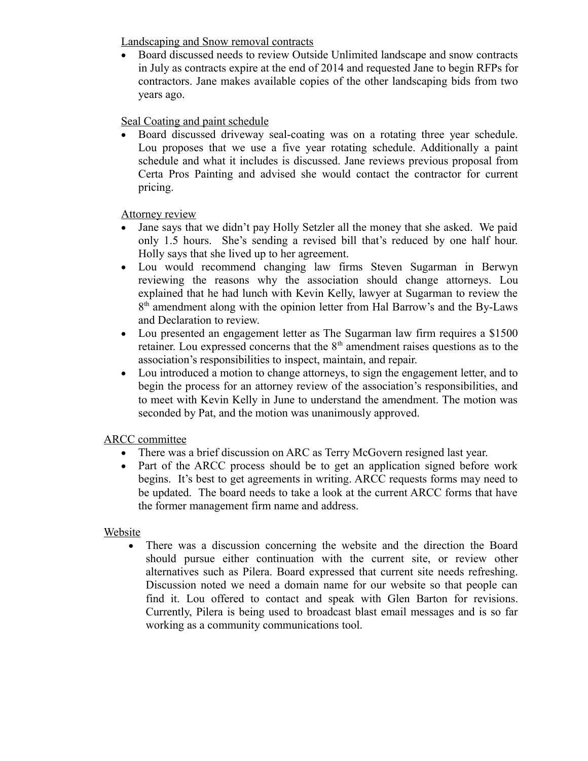Landscaping and Snow removal contracts

 Board discussed needs to review Outside Unlimited landscape and snow contracts in July as contracts expire at the end of 2014 and requested Jane to begin RFPs for contractors. Jane makes available copies of the other landscaping bids from two years ago.

Seal Coating and paint schedule

 Board discussed driveway seal-coating was on a rotating three year schedule. Lou proposes that we use a five year rotating schedule. Additionally a paint schedule and what it includes is discussed. Jane reviews previous proposal from Certa Pros Painting and advised she would contact the contractor for current pricing.

Attorney review

- Jane says that we didn't pay Holly Setzler all the money that she asked. We paid only 1.5 hours. She's sending a revised bill that's reduced by one half hour. Holly says that she lived up to her agreement.
- Lou would recommend changing law firms Steven Sugarman in Berwyn reviewing the reasons why the association should change attorneys. Lou explained that he had lunch with Kevin Kelly, lawyer at Sugarman to review the 8<sup>th</sup> amendment along with the opinion letter from Hal Barrow's and the By-Laws and Declaration to review.
- Lou presented an engagement letter as The Sugarman law firm requires a \$1500 retainer. Lou expressed concerns that the  $8<sup>th</sup>$  amendment raises questions as to the association's responsibilities to inspect, maintain, and repair.
- Lou introduced a motion to change attorneys, to sign the engagement letter, and to begin the process for an attorney review of the association's responsibilities, and to meet with Kevin Kelly in June to understand the amendment. The motion was seconded by Pat, and the motion was unanimously approved.

ARCC committee

- There was a brief discussion on ARC as Terry McGovern resigned last year.
- Part of the ARCC process should be to get an application signed before work begins. It's best to get agreements in writing. ARCC requests forms may need to be updated. The board needs to take a look at the current ARCC forms that have the former management firm name and address.

## Website

 There was a discussion concerning the website and the direction the Board should pursue either continuation with the current site, or review other alternatives such as Pilera. Board expressed that current site needs refreshing. Discussion noted we need a domain name for our website so that people can find it. Lou offered to contact and speak with Glen Barton for revisions. Currently, Pilera is being used to broadcast blast email messages and is so far working as a community communications tool.